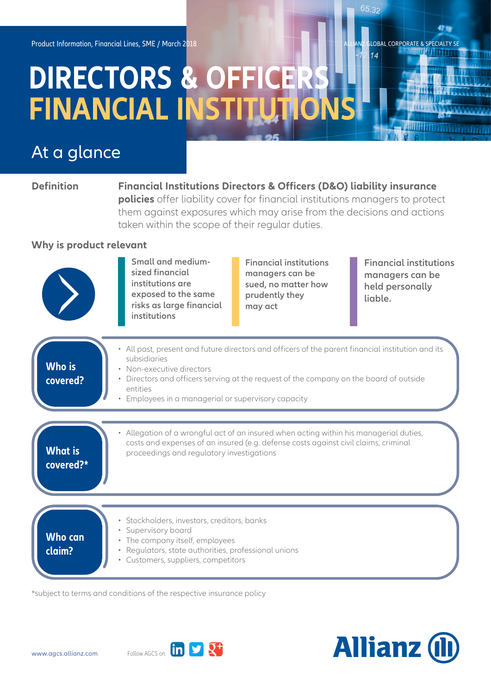# **DIRECTORS & OFFICER FINANCIAL INSTITUTION**

# At a glance

**Definition Financial Institutions Directors & Officers (D&O) liability insurance policies** offer liability cover for financial institutions managers to protect them against exposures which may arise from the decisions and actions taken within the scope of their regular duties.

### **Why is product relevant**



**Small and mediumsized financial institutions are exposed to the same risks as large financial institutions**

**Financial institutions managers can be sued, no matter how prudently they may act**

**Financial institutions managers can be held personally liable.**

LOBAL CORPORATE & SPECIALTY SE

65.32

 $14$ 

| Who is<br>covered?          | • All past, present and future directors and officers of the parent financial institution and its<br>subsidiaries<br>• Non-executive directors<br>• Directors and officers serving at the request of the company on the board of outside<br>entities<br>Employees in a managerial or supervisory capacity |
|-----------------------------|-----------------------------------------------------------------------------------------------------------------------------------------------------------------------------------------------------------------------------------------------------------------------------------------------------------|
| <b>What is</b><br>covered?* | • Allegation of a wrongful act of an insured when acting within his managerial duties,<br>costs and expenses of an insured (e.g. defense costs against civil claims, criminal<br>proceedings and regulatory investigations                                                                                |
| <b>Who can</b><br>claim?    | · Stockholders, investors, creditors, banks<br>• Supervisory board<br>• The company itself, employees<br>• Regulators, state authorities, professional unions<br>Customers, suppliers, competitors                                                                                                        |

\*subject to terms and conditions of the respective insurance policy